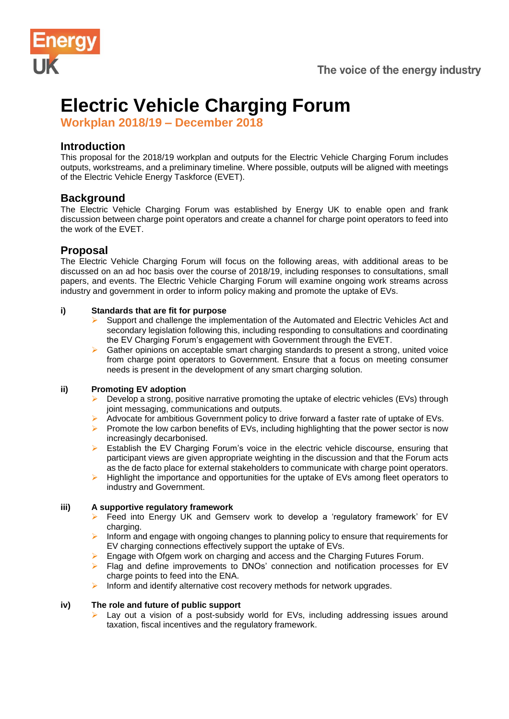

# **Electric Vehicle Charging Forum**

**Workplan 2018/19 – December 2018**

# **Introduction**

This proposal for the 2018/19 workplan and outputs for the Electric Vehicle Charging Forum includes outputs, workstreams, and a preliminary timeline. Where possible, outputs will be aligned with meetings of the Electric Vehicle Energy Taskforce (EVET).

# **Background**

The Electric Vehicle Charging Forum was established by Energy UK to enable open and frank discussion between charge point operators and create a channel for charge point operators to feed into the work of the EVET.

# **Proposal**

The Electric Vehicle Charging Forum will focus on the following areas, with additional areas to be discussed on an ad hoc basis over the course of 2018/19, including responses to consultations, small papers, and events. The Electric Vehicle Charging Forum will examine ongoing work streams across industry and government in order to inform policy making and promote the uptake of EVs.

## **i) Standards that are fit for purpose**

- ➢ Support and challenge the implementation of the Automated and Electric Vehicles Act and secondary legislation following this, including responding to consultations and coordinating the EV Charging Forum's engagement with Government through the EVET.
- Gather opinions on acceptable smart charging standards to present a strong, united voice from charge point operators to Government. Ensure that a focus on meeting consumer needs is present in the development of any smart charging solution.

### **ii) Promoting EV adoption**

- ➢ Develop a strong, positive narrative promoting the uptake of electric vehicles (EVs) through joint messaging, communications and outputs.
- Advocate for ambitious Government policy to drive forward a faster rate of uptake of EVs.
- **EXECT** Promote the low carbon benefits of EVs, including highlighting that the power sector is now increasingly decarbonised.
- ➢ Establish the EV Charging Forum's voice in the electric vehicle discourse, ensuring that participant views are given appropriate weighting in the discussion and that the Forum acts as the de facto place for external stakeholders to communicate with charge point operators.
- ➢ Highlight the importance and opportunities for the uptake of EVs among fleet operators to industry and Government.

## **iii) A supportive regulatory framework**

- Feed into Energy UK and Gemserv work to develop a 'regulatory framework' for EV charging.
- ➢ Inform and engage with ongoing changes to planning policy to ensure that requirements for EV charging connections effectively support the uptake of EVs.
- ➢ Engage with Ofgem work on charging and access and the Charging Futures Forum.
- ➢ Flag and define improvements to DNOs' connection and notification processes for EV charge points to feed into the ENA.
- ➢ Inform and identify alternative cost recovery methods for network upgrades.

## **iv) The role and future of public support**

Lay out a vision of a post-subsidy world for EVs, including addressing issues around taxation, fiscal incentives and the regulatory framework.